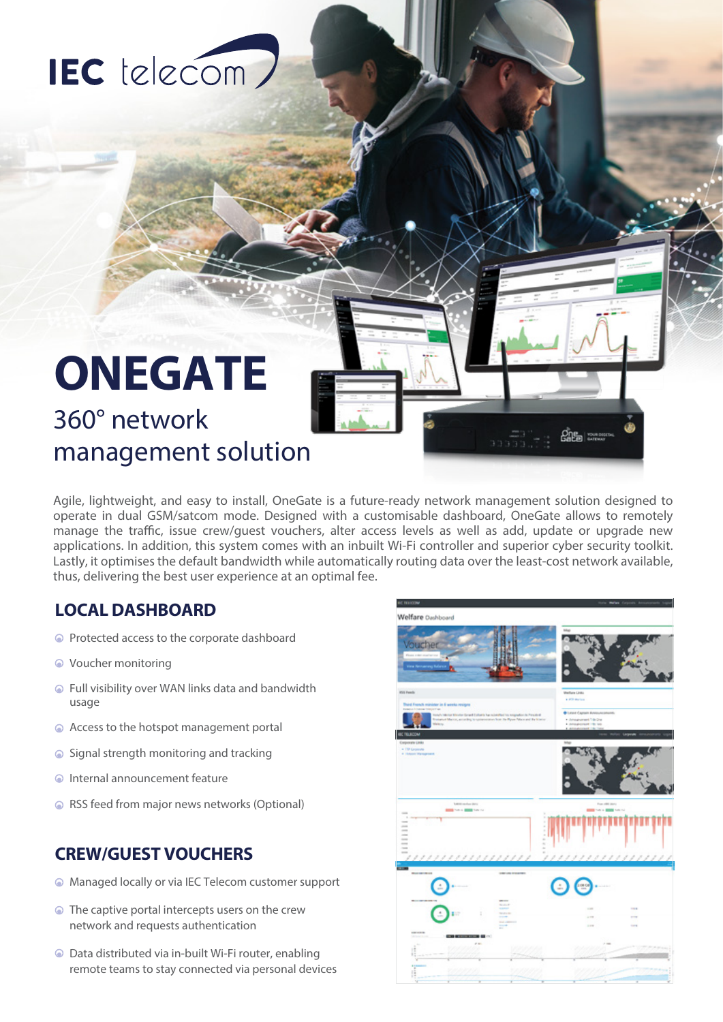# IEC telecom)

## **ONEGATE** 360° network management solution

Agile, lightweight, and easy to install, OneGate is a future-ready network management solution designed to operate in dual GSM/satcom mode. Designed with a customisable dashboard, OneGate allows to remotely manage the traffic, issue crew/guest vouchers, alter access levels as well as add, update or upgrade new applications. In addition, this system comes with an inbuilt Wi-Fi controller and superior cyber security toolkit. Lastly, it optimises the default bandwidth while automatically routing data over the least-cost network available, thus, delivering the best user experience at an optimal fee.

#### **LOCAL DASHBOARD**

- Protected access to the corporate dashboard
- Voucher monitoring
- Full visibility over WAN links data and bandwidth usage
- Access to the hotspot management portal
- Signal strength monitoring and tracking
- Internal announcement feature
- RSS feed from major news networks (Optional)

#### **CREW/GUEST VOUCHERS**

- Managed locally or via IEC Telecom customer support
- **●** The captive portal intercepts users on the crew network and requests authentication
- Data distributed via in-built Wi-Fi router, enabling remote teams to stay connected via personal devices